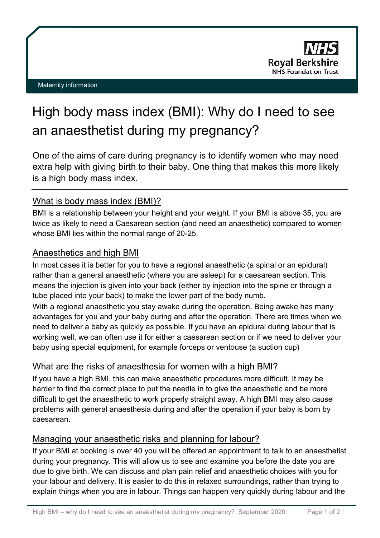# High body mass index (BMI): Why do I need to see an anaesthetist during my pregnancy?

One of the aims of care during pregnancy is to identify women who may need extra help with giving birth to their baby. One thing that makes this more likely is a high body mass index.

## What is body mass index (BMI)?

BMI is a relationship between your height and your weight. If your BMI is above 35, you are twice as likely to need a Caesarean section (and need an anaesthetic) compared to women whose BMI lies within the normal range of 20-25.

#### Anaesthetics and high BMI

In most cases it is better for you to have a regional anaesthetic (a spinal or an epidural) rather than a general anaesthetic (where you are asleep) for a caesarean section. This means the injection is given into your back (either by injection into the spine or through a tube placed into your back) to make the lower part of the body numb.

With a regional anaesthetic you stay awake during the operation. Being awake has many advantages for you and your baby during and after the operation. There are times when we need to deliver a baby as quickly as possible. If you have an epidural during labour that is working well, we can often use it for either a caesarean section or if we need to deliver your baby using special equipment, for example forceps or ventouse (a suction cup)

## What are the risks of anaesthesia for women with a high BMI?

If you have a high BMI, this can make anaesthetic procedures more difficult. It may be harder to find the correct place to put the needle in to give the anaesthetic and be more difficult to get the anaesthetic to work properly straight away. A high BMI may also cause problems with general anaesthesia during and after the operation if your baby is born by caesarean.

## Managing your anaesthetic risks and planning for labour?

If your BMI at booking is over 40 you will be offered an appointment to talk to an anaesthetist during your pregnancy. This will allow us to see and examine you before the date you are due to give birth. We can discuss and plan pain relief and anaesthetic choices with you for your labour and delivery. It is easier to do this in relaxed surroundings, rather than trying to explain things when you are in labour. Things can happen very quickly during labour and the